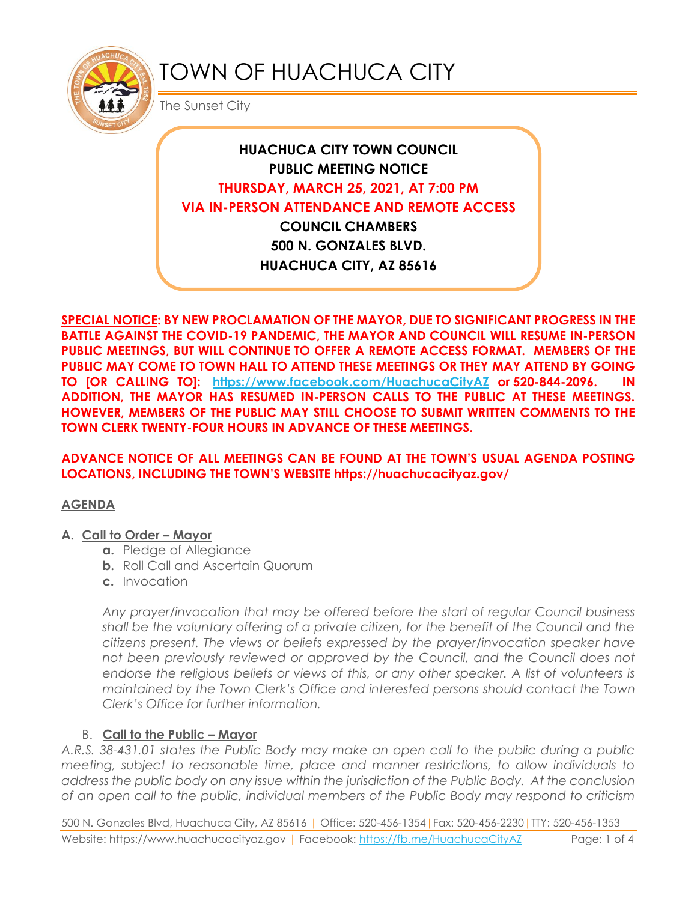

# TOWN OF HUACHUCA CITY

The Sunset City

## **HUACHUCA CITY TOWN COUNCIL PUBLIC MEETING NOTICE THURSDAY, MARCH 25, 2021, AT 7:00 PM VIA IN-PERSON ATTENDANCE AND REMOTE ACCESS COUNCIL CHAMBERS**

**500 N. GONZALES BLVD. HUACHUCA CITY, AZ 85616**

**SPECIAL NOTICE: BY NEW PROCLAMATION OF THE MAYOR, DUE TO SIGNIFICANT PROGRESS IN THE BATTLE AGAINST THE COVID-19 PANDEMIC, THE MAYOR AND COUNCIL WILL RESUME IN-PERSON PUBLIC MEETINGS, BUT WILL CONTINUE TO OFFER A REMOTE ACCESS FORMAT. MEMBERS OF THE PUBLIC MAY COME TO TOWN HALL TO ATTEND THESE MEETINGS OR THEY MAY ATTEND BY GOING TO [OR CALLING TO]: <https://www.facebook.com/HuachucaCityAZ> or 520-844-2096. IN ADDITION, THE MAYOR HAS RESUMED IN-PERSON CALLS TO THE PUBLIC AT THESE MEETINGS. HOWEVER, MEMBERS OF THE PUBLIC MAY STILL CHOOSE TO SUBMIT WRITTEN COMMENTS TO THE TOWN CLERK TWENTY-FOUR HOURS IN ADVANCE OF THESE MEETINGS.** 

#### **ADVANCE NOTICE OF ALL MEETINGS CAN BE FOUND AT THE TOWN'S USUAL AGENDA POSTING LOCATIONS, INCLUDING THE TOWN'S WEBSITE https://huachucacityaz.gov/**

#### **AGENDA**

#### **A. Call to Order – Mayor**

- **a.** Pledge of Allegiance
- **b.** Roll Call and Ascertain Quorum
- **c.** Invocation

*Any prayer/invocation that may be offered before the start of regular Council business shall be the voluntary offering of a private citizen, for the benefit of the Council and the citizens present. The views or beliefs expressed by the prayer/invocation speaker have*  not been previously reviewed or approved by the Council, and the Council does not endorse the religious beliefs or views of this, or any other speaker. A list of volunteers is *maintained by the Town Clerk's Office and interested persons should contact the Town Clerk's Office for further information.*

## B. **Call to the Public – Mayor**

*A.R.S. 38-431.01 states the Public Body may make an open call to the public during a public meeting, subject to reasonable time, place and manner restrictions, to allow individuals to address the public body on any issue within the jurisdiction of the Public Body. At the conclusion of an open call to the public, individual members of the Public Body may respond to criticism* 

500 N. Gonzales Blvd, Huachuca City, AZ 85616 | Office: 520-456-1354|Fax: 520-456-2230|TTY: 520-456-1353 Website: https://www.huachucacityaz.gov | Facebook:<https://fb.me/HuachucaCityAZ> Page: 1 of 4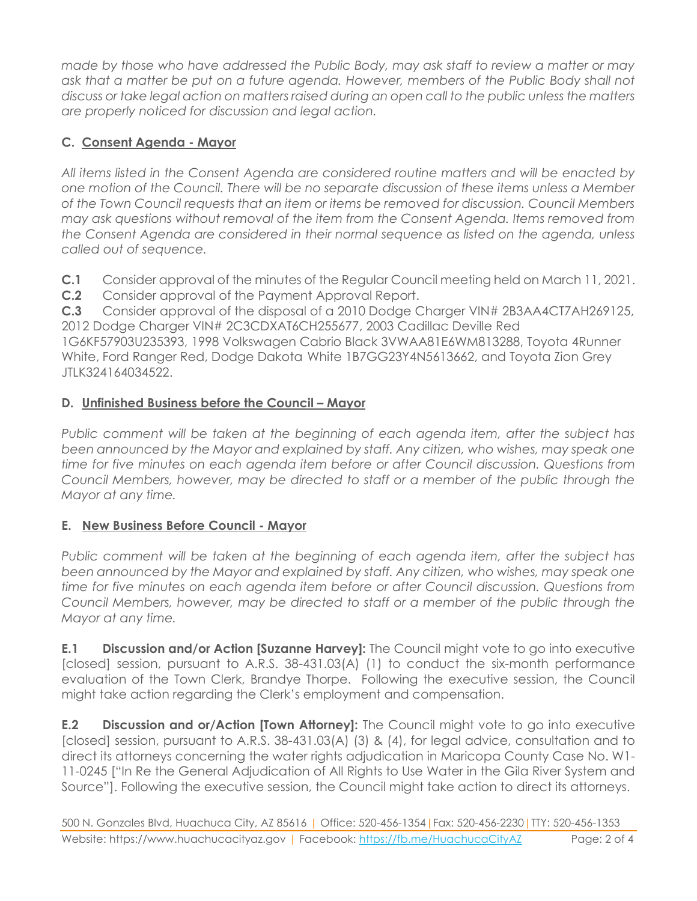*made by those who have addressed the Public Body, may ask staff to review a matter or may ask that a matter be put on a future agenda. However, members of the Public Body shall not discuss or take legal action on matters raised during an open call to the public unless the matters are properly noticed for discussion and legal action.*

## **C. Consent Agenda - Mayor**

*All items listed in the Consent Agenda are considered routine matters and will be enacted by one motion of the Council. There will be no separate discussion of these items unless a Member of the Town Council requests that an item or items be removed for discussion. Council Members may ask questions without removal of the item from the Consent Agenda. Items removed from the Consent Agenda are considered in their normal sequence as listed on the agenda, unless called out of sequence.*

**C.1** Consider approval of the minutes of the Regular Council meeting held on March 11, 2021.

**C.2** Consider approval of the Payment Approval Report.

**C.3** Consider approval of the disposal of a 2010 Dodge Charger VIN# 2B3AA4CT7AH269125, 2012 Dodge Charger VIN# 2C3CDXAT6CH255677, 2003 Cadillac Deville Red 1G6KF57903U235393, 1998 Volkswagen Cabrio Black 3VWAA81E6WM813288, Toyota 4Runner White, Ford Ranger Red, Dodge Dakota White 1B7GG23Y4N5613662, and Toyota Zion Grey JTLK324164034522.

## **D.** Unfinished Business before the Council - Mayor

*Public comment will be taken at the beginning of each agenda item, after the subject has*  been announced by the Mayor and explained by staff. Any citizen, who wishes, may speak one *time for five minutes on each agenda item before or after Council discussion. Questions from Council Members, however, may be directed to staff or a member of the public through the Mayor at any time.*

## **E. New Business Before Council - Mayor**

*Public comment will be taken at the beginning of each agenda item, after the subject has*  been announced by the Mayor and explained by staff. Any citizen, who wishes, may speak one *time for five minutes on each agenda item before or after Council discussion. Questions from Council Members, however, may be directed to staff or a member of the public through the Mayor at any time.* 

**E.1 Discussion and/or Action [Suzanne Harvey]:** The Council might vote to go into executive [closed] session, pursuant to A.R.S. 38-431.03(A) (1) to conduct the six-month performance evaluation of the Town Clerk, Brandye Thorpe. Following the executive session, the Council might take action regarding the Clerk's employment and compensation.

**E.2 Discussion and or/Action [Town Attorney]:** The Council might vote to go into executive [closed] session, pursuant to A.R.S. 38-431.03(A) (3) & (4), for legal advice, consultation and to direct its attorneys concerning the water rights adjudication in Maricopa County Case No. W1- 11-0245 ["In Re the General Adjudication of All Rights to Use Water in the Gila River System and Source"]. Following the executive session, the Council might take action to direct its attorneys.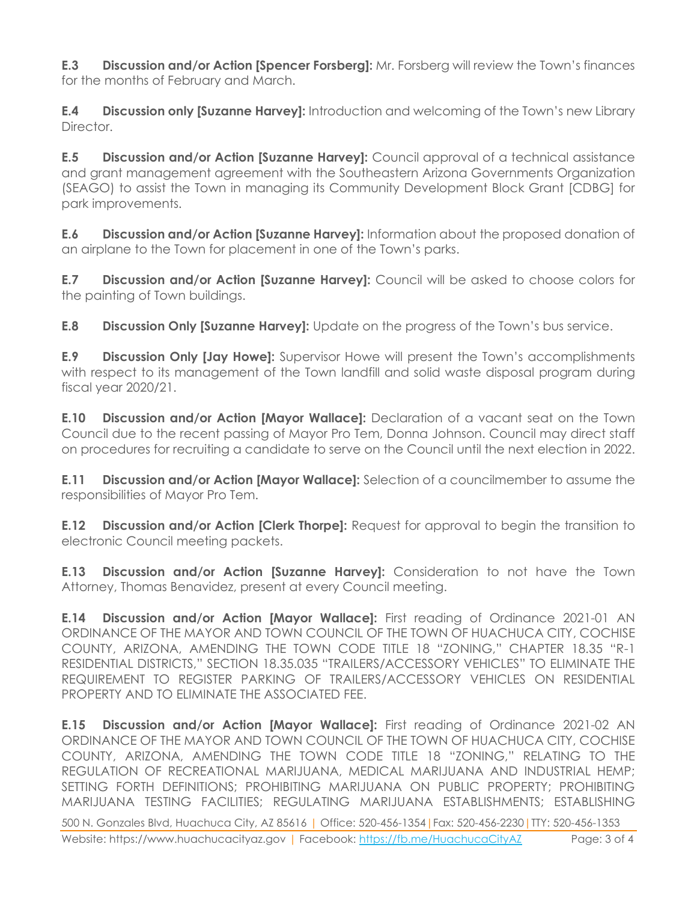**E.3 Discussion and/or Action [Spencer Forsberg]:** Mr. Forsberg will review the Town's finances for the months of February and March.

**E.4 Discussion only [Suzanne Harvey]:** Introduction and welcoming of the Town's new Library Director.

**E.5 Discussion and/or Action [Suzanne Harvey]:** Council approval of a technical assistance and grant management agreement with the Southeastern Arizona Governments Organization (SEAGO) to assist the Town in managing its Community Development Block Grant [CDBG] for park improvements.

**E.6 Discussion and/or Action [Suzanne Harvey]:** Information about the proposed donation of an airplane to the Town for placement in one of the Town's parks.

**E.7 Discussion and/or Action [Suzanne Harvey]:** Council will be asked to choose colors for the painting of Town buildings.

**E.8 Discussion Only [Suzanne Harvey]:** Update on the progress of the Town's bus service.

**E.9 Discussion Only [Jay Howe]:** Supervisor Howe will present the Town's accomplishments with respect to its management of the Town landfill and solid waste disposal program during fiscal year 2020/21.

**E.10 Discussion and/or Action [Mayor Wallace]:** Declaration of a vacant seat on the Town Council due to the recent passing of Mayor Pro Tem, Donna Johnson. Council may direct staff on procedures for recruiting a candidate to serve on the Council until the next election in 2022.

**E.11 Discussion and/or Action [Mayor Wallace]:** Selection of a councilmember to assume the responsibilities of Mayor Pro Tem.

**E.12 Discussion and/or Action [Clerk Thorpe]:** Request for approval to begin the transition to electronic Council meeting packets.

**E.13 Discussion and/or Action [Suzanne Harvey]:** Consideration to not have the Town Attorney, Thomas Benavidez, present at every Council meeting.

**E.14 Discussion and/or Action [Mayor Wallace]:** First reading of Ordinance 2021-01 AN ORDINANCE OF THE MAYOR AND TOWN COUNCIL OF THE TOWN OF HUACHUCA CITY, COCHISE COUNTY, ARIZONA, AMENDING THE TOWN CODE TITLE 18 "ZONING," CHAPTER 18.35 "R-1 RESIDENTIAL DISTRICTS," SECTION 18.35.035 "TRAILERS/ACCESSORY VEHICLES" TO ELIMINATE THE REQUIREMENT TO REGISTER PARKING OF TRAILERS/ACCESSORY VEHICLES ON RESIDENTIAL PROPERTY AND TO ELIMINATE THE ASSOCIATED FEE.

**E.15 Discussion and/or Action [Mayor Wallace]:** First reading of Ordinance 2021-02 AN ORDINANCE OF THE MAYOR AND TOWN COUNCIL OF THE TOWN OF HUACHUCA CITY, COCHISE COUNTY, ARIZONA, AMENDING THE TOWN CODE TITLE 18 "ZONING," RELATING TO THE REGULATION OF RECREATIONAL MARIJUANA, MEDICAL MARIJUANA AND INDUSTRIAL HEMP; SETTING FORTH DEFINITIONS; PROHIBITING MARIJUANA ON PUBLIC PROPERTY; PROHIBITING MARIJUANA TESTING FACILITIES; REGULATING MARIJUANA ESTABLISHMENTS; ESTABLISHING

500 N. Gonzales Blvd, Huachuca City, AZ 85616 | Office: 520-456-1354|Fax: 520-456-2230|TTY: 520-456-1353 Website: https://www.huachucacityaz.gov | Facebook:<https://fb.me/HuachucaCityAZ> Page: 3 of 4